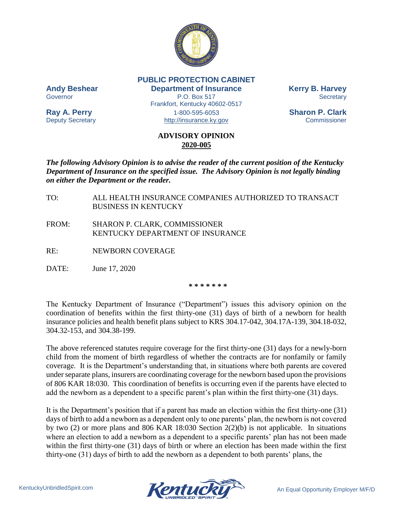

**PUBLIC PROTECTION CABINET Andy Beshear Department of Insurance Kerry B. Harvey** Governor **EXECUTE:** P.O. Box 517 Secretary **Secretary** Frankfort, Kentucky 40602-0517 **Ray A. Perry** 1-800-595-6053 **Sharon P. Clark** Deputy Secretary **Example 20** [http://insurance.ky.gov](http://insurance.ky.gov/) Commissioner

## **ADVISORY OPINION 2020-005**

*The following Advisory Opinion is to advise the reader of the current position of the Kentucky Department of Insurance on the specified issue. The Advisory Opinion is not legally binding on either the Department or the reader.*

- TO: ALL HEALTH INSURANCE COMPANIES AUTHORIZED TO TRANSACT BUSINESS IN KENTUCKY
- FROM: SHARON P. CLARK, COMMISSIONER KENTUCKY DEPARTMENT OF INSURANCE
- RE: NEWBORN COVERAGE
- DATE: June 17, 2020

**\* \* \* \* \* \* \***

The Kentucky Department of Insurance ("Department") issues this advisory opinion on the coordination of benefits within the first thirty-one (31) days of birth of a newborn for health insurance policies and health benefit plans subject to KRS 304.17-042, 304.17A-139, 304.18-032, 304.32-153, and 304.38-199.

The above referenced statutes require coverage for the first thirty-one (31) days for a newly-born child from the moment of birth regardless of whether the contracts are for nonfamily or family coverage. It is the Department's understanding that, in situations where both parents are covered under separate plans, insurers are coordinating coverage for the newborn based upon the provisions of 806 KAR 18:030. This coordination of benefits is occurring even if the parents have elected to add the newborn as a dependent to a specific parent's plan within the first thirty-one (31) days.

It is the Department's position that if a parent has made an election within the first thirty-one (31) days of birth to add a newborn as a dependent only to one parents' plan, the newborn is not covered by two (2) or more plans and 806 KAR 18:030 Section 2(2)(b) is not applicable. In situations where an election to add a newborn as a dependent to a specific parents' plan has not been made within the first thirty-one (31) days of birth or where an election has been made within the first thirty-one (31) days of birth to add the newborn as a dependent to both parents' plans, the